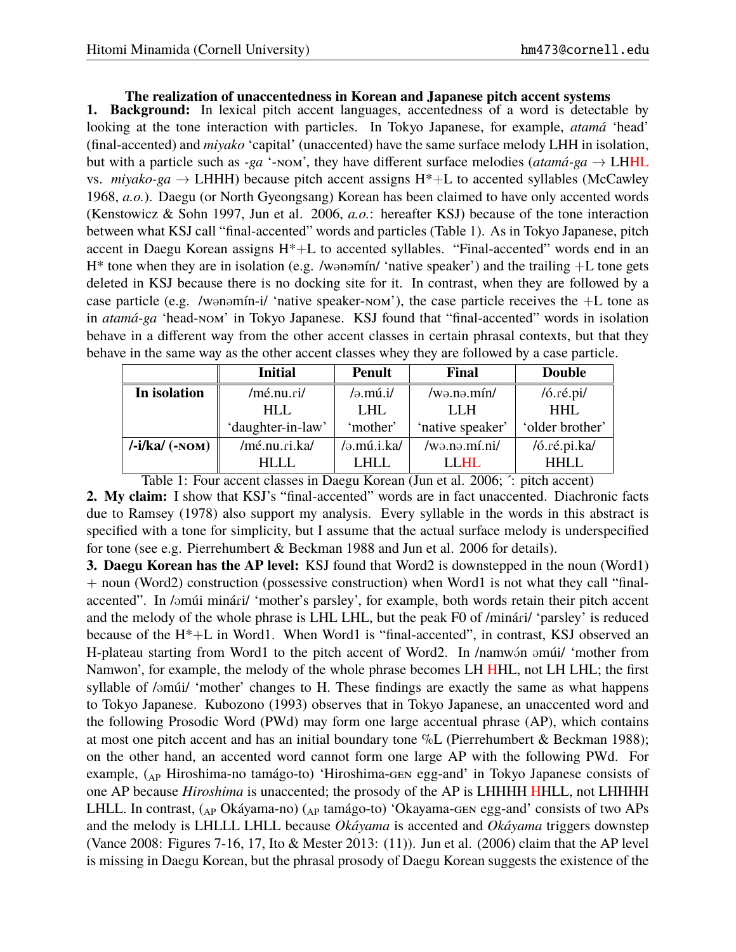## **The realization of unaccentedness in Korean and Japanese pitch accent systems**

**1. Background:** In lexical pitch accent languages, accentedness of a word is detectable by looking at the tone interaction with particles. In Tokyo Japanese, for example, *atamá* 'head' (final-accented) and *miyako* 'capital' (unaccented) have the same surface melody LHH in isolation, but with a particle such as *-ga* '-NOM', they have different surface melodies ( $atam\acute{a}$ -ga  $\rightarrow$  LHHL vs. *miyako-ga*  $\rightarrow$  LHHH) because pitch accent assigns H<sup>\*</sup>+L to accented syllables (McCawley 1968, *a.o.*). Daegu (or North Gyeongsang) Korean has been claimed to have only accented words (Kenstowicz & Sohn 1997, Jun et al. 2006, *a.o.*: hereafter KSJ) because of the tone interaction between what KSJ call "final-accented" words and particles (Table 1). As in Tokyo Japanese, pitch accent in Daegu Korean assigns H\*+L to accented syllables. "Final-accented" words end in an  $H^*$  tone when they are in isolation (e.g. /wonomín/ 'native speaker') and the trailing  $+L$  tone gets deleted in KSJ because there is no docking site for it. In contrast, when they are followed by a case particle (e.g. /wonomín-i/ 'native speaker-nom'), the case particle receives the  $+L$  tone as in *atamá-ga* 'head-nom' in Tokyo Japanese. KSJ found that "final-accented" words in isolation behave in a different way from the other accent classes in certain phrasal contexts, but that they behave in the same way as the other accent classes whey they are followed by a case particle.

|                                          | <b>Initial</b>    | <b>Penult</b>  | Final                          | <b>Double</b>             |
|------------------------------------------|-------------------|----------------|--------------------------------|---------------------------|
| In isolation                             | /mé.nu.ri/        | $/$ ə.mú.i $/$ | /w <sub>θ</sub> . <i>m</i> in/ | $/6$ . $r \notin$ . $pi/$ |
|                                          | HLL               | <b>LHL</b>     | LLH                            | <b>HHL</b>                |
|                                          | 'daughter-in-law' | 'mother'       | 'native speaker'               | 'older brother'           |
| $\frac{\mathrm{Li}}{\mathrm{ka}}$ (-NOM) | /mé.nu.ri.ka/     | /ə.mú.i.ka/    | /wə.nə.mí.ni/                  | /ó.ré.pi.ka/              |
|                                          | HLLL.             | LHLL           | LLHL                           | <b>HHLL</b>               |

Table 1: Four accent classes in Daegu Korean (Jun et al. 2006; ´: pitch accent)

**2. My claim:** I show that KSJ's "final-accented" words are in fact unaccented. Diachronic facts due to Ramsey (1978) also support my analysis. Every syllable in the words in this abstract is specified with a tone for simplicity, but I assume that the actual surface melody is underspecified for tone (see e.g. Pierrehumbert & Beckman 1988 and Jun et al. 2006 for details).

**3. Daegu Korean has the AP level:** KSJ found that Word2 is downstepped in the noun (Word1) + noun (Word2) construction (possessive construction) when Word1 is not what they call "finalaccented". In /əmúi minári/ 'mother's parsley', for example, both words retain their pitch accent and the melody of the whole phrase is LHL LHL, but the peak F0 of /minári/ 'parsley' is reduced because of the H\*+L in Word1. When Word1 is "final-accented", in contrast, KSJ observed an H-plateau starting from Word1 to the pitch accent of Word2. In /namwon amúi/ 'mother from Namwon', for example, the melody of the whole phrase becomes LH HHL, not LH LHL; the first syllable of /əmúi/ 'mother' changes to H. These findings are exactly the same as what happens to Tokyo Japanese. Kubozono (1993) observes that in Tokyo Japanese, an unaccented word and the following Prosodic Word (PWd) may form one large accentual phrase (AP), which contains at most one pitch accent and has an initial boundary tone %L (Pierrehumbert & Beckman 1988); on the other hand, an accented word cannot form one large AP with the following PWd. For example, (AP Hiroshima-no tamágo-to) 'Hiroshima-gen egg-and' in Tokyo Japanese consists of one AP because *Hiroshima* is unaccented; the prosody of the AP is LHHHH HHLL, not LHHHH LHLL. In contrast, (AP Okáyama-no) (AP tamágo-to) 'Okayama-GEN egg-and' consists of two APs and the melody is LHLLL LHLL because *Okáyama* is accented and *Okáyama* triggers downstep (Vance 2008: Figures 7-16, 17, Ito & Mester 2013: (11)). Jun et al. (2006) claim that the AP level is missing in Daegu Korean, but the phrasal prosody of Daegu Korean suggests the existence of the